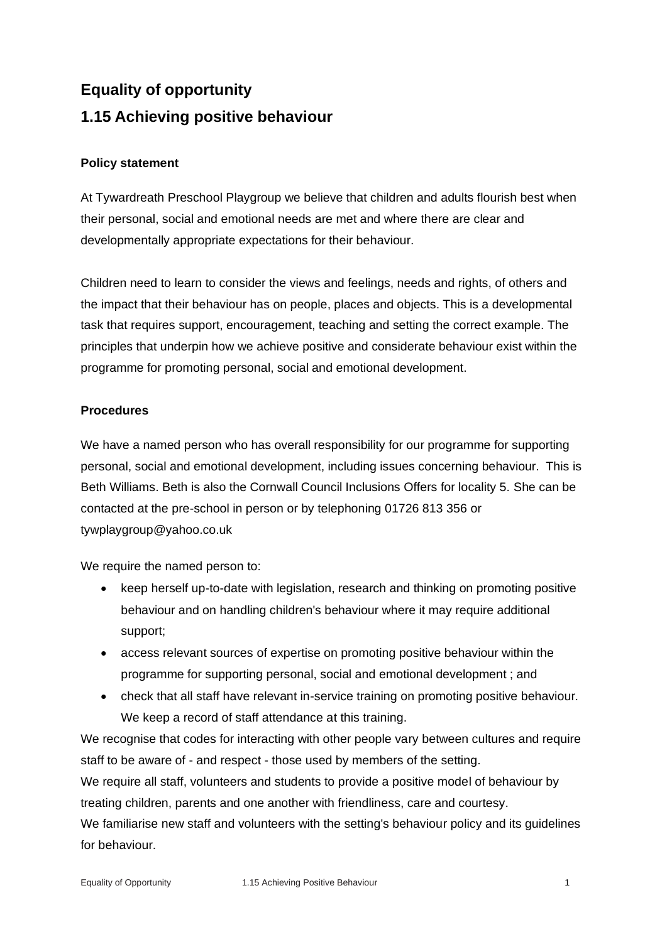# **Equality of opportunity 1.15 Achieving positive behaviour**

# **Policy statement**

At Tywardreath Preschool Playgroup we believe that children and adults flourish best when their personal, social and emotional needs are met and where there are clear and developmentally appropriate expectations for their behaviour.

Children need to learn to consider the views and feelings, needs and rights, of others and the impact that their behaviour has on people, places and objects. This is a developmental task that requires support, encouragement, teaching and setting the correct example. The principles that underpin how we achieve positive and considerate behaviour exist within the programme for promoting personal, social and emotional development.

## **Procedures**

We have a named person who has overall responsibility for our programme for supporting personal, social and emotional development, including issues concerning behaviour. This is Beth Williams. Beth is also the Cornwall Council Inclusions Offers for locality 5. She can be contacted at the pre-school in person or by telephoning 01726 813 356 or tywplaygroup@yahoo.co.uk

We require the named person to:

- keep herself up-to-date with legislation, research and thinking on promoting positive behaviour and on handling children's behaviour where it may require additional support;
- access relevant sources of expertise on promoting positive behaviour within the programme for supporting personal, social and emotional development ; and
- check that all staff have relevant in-service training on promoting positive behaviour. We keep a record of staff attendance at this training.

We recognise that codes for interacting with other people vary between cultures and require staff to be aware of - and respect - those used by members of the setting.

We require all staff, volunteers and students to provide a positive model of behaviour by treating children, parents and one another with friendliness, care and courtesy.

We familiarise new staff and volunteers with the setting's behaviour policy and its guidelines for behaviour.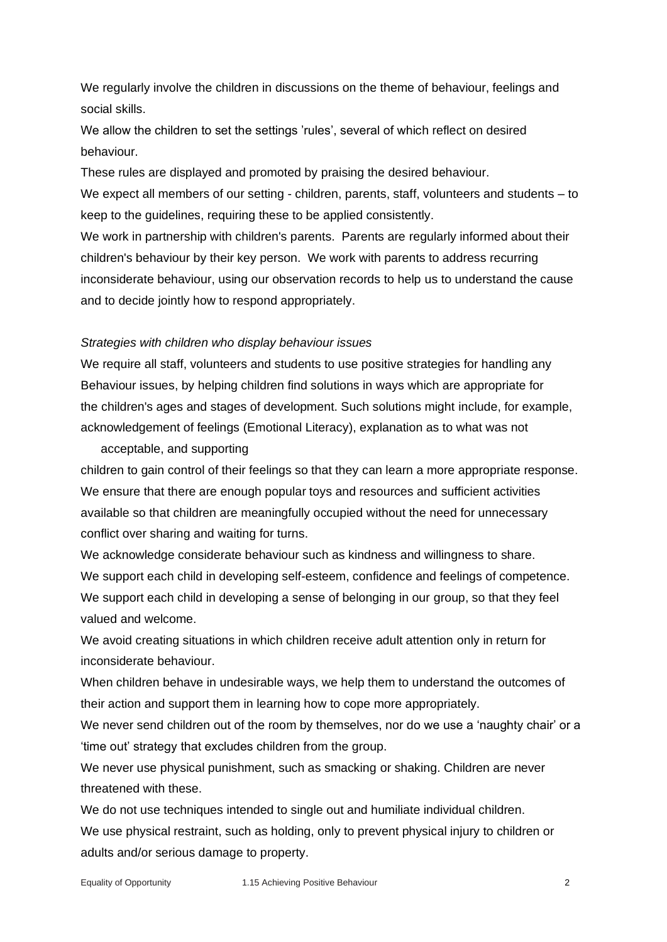We regularly involve the children in discussions on the theme of behaviour, feelings and social skills.

We allow the children to set the settings 'rules', several of which reflect on desired behaviour.

These rules are displayed and promoted by praising the desired behaviour.

We expect all members of our setting - children, parents, staff, volunteers and students – to keep to the guidelines, requiring these to be applied consistently.

We work in partnership with children's parents. Parents are regularly informed about their children's behaviour by their key person. We work with parents to address recurring inconsiderate behaviour, using our observation records to help us to understand the cause and to decide jointly how to respond appropriately.

#### *Strategies with children who display behaviour issues*

We require all staff, volunteers and students to use positive strategies for handling any Behaviour issues, by helping children find solutions in ways which are appropriate for the children's ages and stages of development. Such solutions might include, for example, acknowledgement of feelings (Emotional Literacy), explanation as to what was not

acceptable, and supporting

children to gain control of their feelings so that they can learn a more appropriate response. We ensure that there are enough popular toys and resources and sufficient activities available so that children are meaningfully occupied without the need for unnecessary conflict over sharing and waiting for turns.

We acknowledge considerate behaviour such as kindness and willingness to share. We support each child in developing self-esteem, confidence and feelings of competence. We support each child in developing a sense of belonging in our group, so that they feel valued and welcome.

We avoid creating situations in which children receive adult attention only in return for inconsiderate behaviour.

When children behave in undesirable ways, we help them to understand the outcomes of their action and support them in learning how to cope more appropriately.

We never send children out of the room by themselves, nor do we use a 'naughty chair' or a 'time out' strategy that excludes children from the group.

We never use physical punishment, such as smacking or shaking. Children are never threatened with these.

We do not use techniques intended to single out and humiliate individual children. We use physical restraint, such as holding, only to prevent physical injury to children or adults and/or serious damage to property.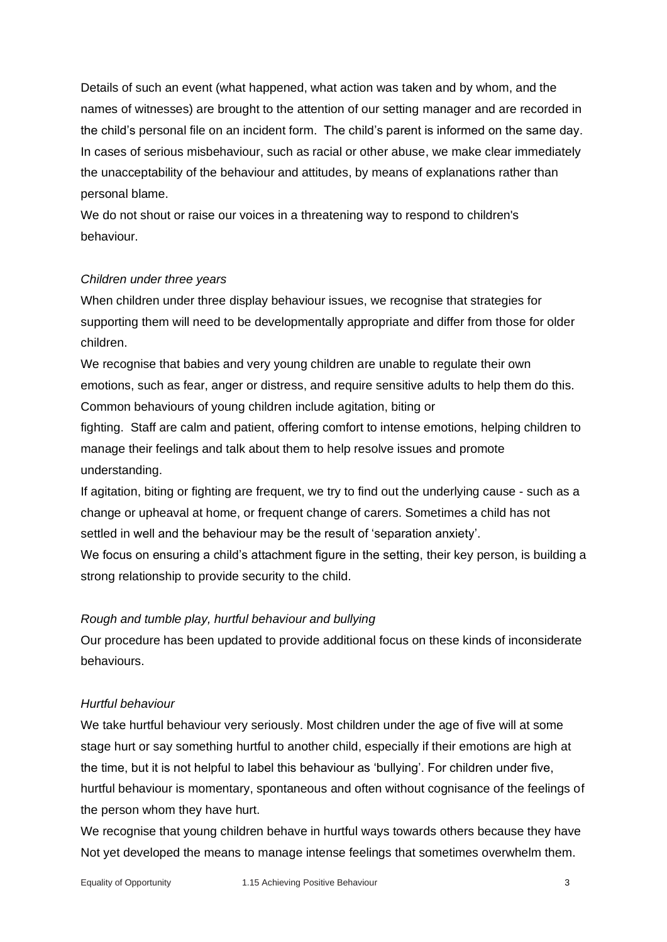Details of such an event (what happened, what action was taken and by whom, and the names of witnesses) are brought to the attention of our setting manager and are recorded in the child's personal file on an incident form. The child's parent is informed on the same day. In cases of serious misbehaviour, such as racial or other abuse, we make clear immediately the unacceptability of the behaviour and attitudes, by means of explanations rather than personal blame.

We do not shout or raise our voices in a threatening way to respond to children's behaviour.

### *Children under three years*

When children under three display behaviour issues, we recognise that strategies for supporting them will need to be developmentally appropriate and differ from those for older children.

We recognise that babies and very young children are unable to regulate their own emotions, such as fear, anger or distress, and require sensitive adults to help them do this. Common behaviours of young children include agitation, biting or

fighting. Staff are calm and patient, offering comfort to intense emotions, helping children to manage their feelings and talk about them to help resolve issues and promote understanding.

If agitation, biting or fighting are frequent, we try to find out the underlying cause - such as a change or upheaval at home, or frequent change of carers. Sometimes a child has not settled in well and the behaviour may be the result of 'separation anxiety'.

We focus on ensuring a child's attachment figure in the setting, their key person, is building a strong relationship to provide security to the child.

## *Rough and tumble play, hurtful behaviour and bullying*

Our procedure has been updated to provide additional focus on these kinds of inconsiderate behaviours.

#### *Hurtful behaviour*

We take hurtful behaviour very seriously. Most children under the age of five will at some stage hurt or say something hurtful to another child, especially if their emotions are high at the time, but it is not helpful to label this behaviour as 'bullying'. For children under five, hurtful behaviour is momentary, spontaneous and often without cognisance of the feelings of the person whom they have hurt.

We recognise that young children behave in hurtful ways towards others because they have Not yet developed the means to manage intense feelings that sometimes overwhelm them.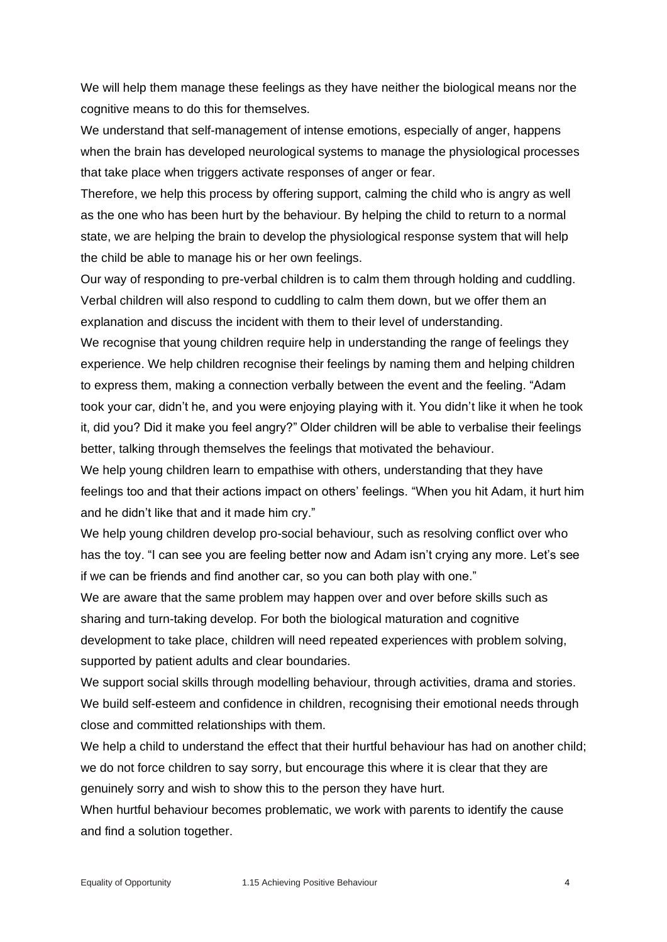We will help them manage these feelings as they have neither the biological means nor the cognitive means to do this for themselves.

We understand that self-management of intense emotions, especially of anger, happens when the brain has developed neurological systems to manage the physiological processes that take place when triggers activate responses of anger or fear.

Therefore, we help this process by offering support, calming the child who is angry as well as the one who has been hurt by the behaviour. By helping the child to return to a normal state, we are helping the brain to develop the physiological response system that will help the child be able to manage his or her own feelings.

Our way of responding to pre-verbal children is to calm them through holding and cuddling. Verbal children will also respond to cuddling to calm them down, but we offer them an explanation and discuss the incident with them to their level of understanding.

We recognise that young children require help in understanding the range of feelings they experience. We help children recognise their feelings by naming them and helping children to express them, making a connection verbally between the event and the feeling. "Adam took your car, didn't he, and you were enjoying playing with it. You didn't like it when he took it, did you? Did it make you feel angry?" Older children will be able to verbalise their feelings better, talking through themselves the feelings that motivated the behaviour.

We help young children learn to empathise with others, understanding that they have feelings too and that their actions impact on others' feelings. "When you hit Adam, it hurt him and he didn't like that and it made him cry."

We help young children develop pro-social behaviour, such as resolving conflict over who has the toy. "I can see you are feeling better now and Adam isn't crying any more. Let's see if we can be friends and find another car, so you can both play with one."

We are aware that the same problem may happen over and over before skills such as sharing and turn-taking develop. For both the biological maturation and cognitive development to take place, children will need repeated experiences with problem solving, supported by patient adults and clear boundaries.

We support social skills through modelling behaviour, through activities, drama and stories. We build self-esteem and confidence in children, recognising their emotional needs through close and committed relationships with them.

We help a child to understand the effect that their hurtful behaviour has had on another child; we do not force children to say sorry, but encourage this where it is clear that they are genuinely sorry and wish to show this to the person they have hurt.

When hurtful behaviour becomes problematic, we work with parents to identify the cause and find a solution together.